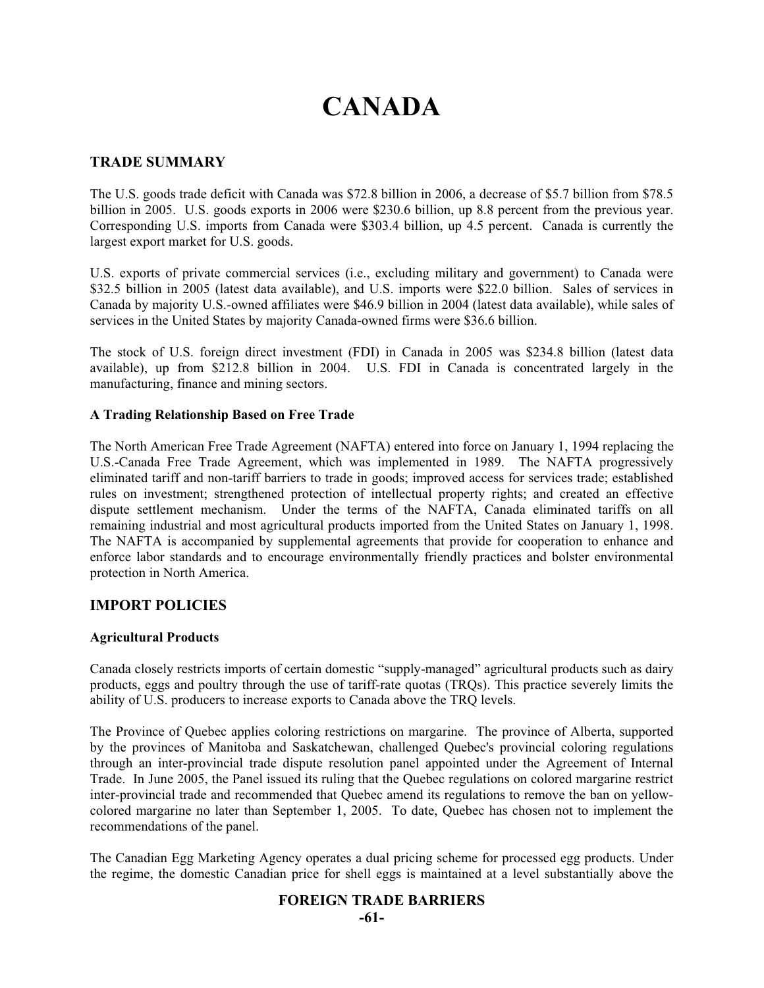# **CANADA**

## **TRADE SUMMARY**

The U.S. goods trade deficit with Canada was \$72.8 billion in 2006, a decrease of \$5.7 billion from \$78.5 billion in 2005. U.S. goods exports in 2006 were \$230.6 billion, up 8.8 percent from the previous year. Corresponding U.S. imports from Canada were \$303.4 billion, up 4.5 percent. Canada is currently the largest export market for U.S. goods.

U.S. exports of private commercial services (i.e., excluding military and government) to Canada were \$32.5 billion in 2005 (latest data available), and U.S. imports were \$22.0 billion. Sales of services in Canada by majority U.S.-owned affiliates were \$46.9 billion in 2004 (latest data available), while sales of services in the United States by majority Canada-owned firms were \$36.6 billion.

The stock of U.S. foreign direct investment (FDI) in Canada in 2005 was \$234.8 billion (latest data available), up from \$212.8 billion in 2004. U.S. FDI in Canada is concentrated largely in the manufacturing, finance and mining sectors.

#### **A Trading Relationship Based on Free Trade**

The North American Free Trade Agreement (NAFTA) entered into force on January 1, 1994 replacing the U.S.-Canada Free Trade Agreement, which was implemented in 1989. The NAFTA progressively eliminated tariff and non-tariff barriers to trade in goods; improved access for services trade; established rules on investment; strengthened protection of intellectual property rights; and created an effective dispute settlement mechanism. Under the terms of the NAFTA, Canada eliminated tariffs on all remaining industrial and most agricultural products imported from the United States on January 1, 1998. The NAFTA is accompanied by supplemental agreements that provide for cooperation to enhance and enforce labor standards and to encourage environmentally friendly practices and bolster environmental protection in North America.

# **IMPORT POLICIES**

#### **Agricultural Products**

Canada closely restricts imports of certain domestic "supply-managed" agricultural products such as dairy products, eggs and poultry through the use of tariff-rate quotas (TRQs). This practice severely limits the ability of U.S. producers to increase exports to Canada above the TRQ levels.

The Province of Quebec applies coloring restrictions on margarine. The province of Alberta, supported by the provinces of Manitoba and Saskatchewan, challenged Quebec's provincial coloring regulations through an inter-provincial trade dispute resolution panel appointed under the Agreement of Internal Trade. In June 2005, the Panel issued its ruling that the Quebec regulations on colored margarine restrict inter-provincial trade and recommended that Quebec amend its regulations to remove the ban on yellowcolored margarine no later than September 1, 2005. To date, Quebec has chosen not to implement the recommendations of the panel.

The Canadian Egg Marketing Agency operates a dual pricing scheme for processed egg products. Under the regime, the domestic Canadian price for shell eggs is maintained at a level substantially above the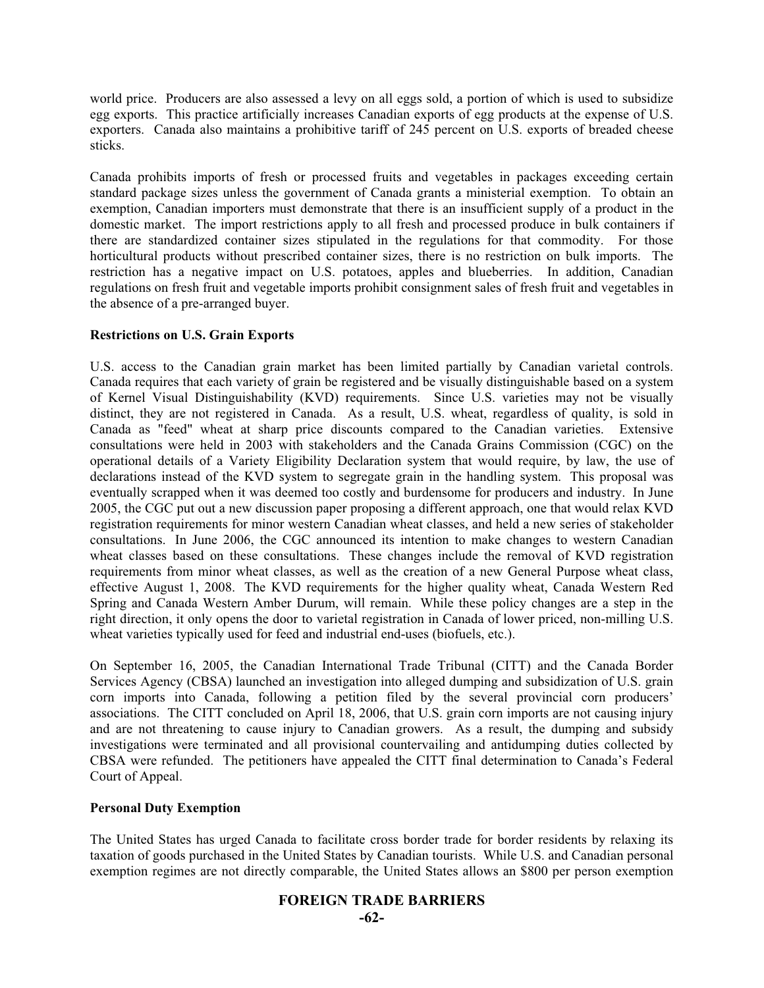world price. Producers are also assessed a levy on all eggs sold, a portion of which is used to subsidize egg exports. This practice artificially increases Canadian exports of egg products at the expense of U.S. exporters. Canada also maintains a prohibitive tariff of 245 percent on U.S. exports of breaded cheese sticks.

Canada prohibits imports of fresh or processed fruits and vegetables in packages exceeding certain standard package sizes unless the government of Canada grants a ministerial exemption. To obtain an exemption, Canadian importers must demonstrate that there is an insufficient supply of a product in the domestic market. The import restrictions apply to all fresh and processed produce in bulk containers if there are standardized container sizes stipulated in the regulations for that commodity. For those horticultural products without prescribed container sizes, there is no restriction on bulk imports. The restriction has a negative impact on U.S. potatoes, apples and blueberries. In addition, Canadian regulations on fresh fruit and vegetable imports prohibit consignment sales of fresh fruit and vegetables in the absence of a pre-arranged buyer.

#### **Restrictions on U.S. Grain Exports**

U.S. access to the Canadian grain market has been limited partially by Canadian varietal controls. Canada requires that each variety of grain be registered and be visually distinguishable based on a system of Kernel Visual Distinguishability (KVD) requirements. Since U.S. varieties may not be visually distinct, they are not registered in Canada. As a result, U.S. wheat, regardless of quality, is sold in Canada as "feed" wheat at sharp price discounts compared to the Canadian varieties. Extensive consultations were held in 2003 with stakeholders and the Canada Grains Commission (CGC) on the operational details of a Variety Eligibility Declaration system that would require, by law, the use of declarations instead of the KVD system to segregate grain in the handling system. This proposal was eventually scrapped when it was deemed too costly and burdensome for producers and industry. In June 2005, the CGC put out a new discussion paper proposing a different approach, one that would relax KVD registration requirements for minor western Canadian wheat classes, and held a new series of stakeholder consultations. In June 2006, the CGC announced its intention to make changes to western Canadian wheat classes based on these consultations. These changes include the removal of KVD registration requirements from minor wheat classes, as well as the creation of a new General Purpose wheat class, effective August 1, 2008. The KVD requirements for the higher quality wheat, Canada Western Red Spring and Canada Western Amber Durum, will remain. While these policy changes are a step in the right direction, it only opens the door to varietal registration in Canada of lower priced, non-milling U.S. wheat varieties typically used for feed and industrial end-uses (biofuels, etc.).

On September 16, 2005, the Canadian International Trade Tribunal (CITT) and the Canada Border Services Agency (CBSA) launched an investigation into alleged dumping and subsidization of U.S. grain corn imports into Canada, following a petition filed by the several provincial corn producers' associations. The CITT concluded on April 18, 2006, that U.S. grain corn imports are not causing injury and are not threatening to cause injury to Canadian growers. As a result, the dumping and subsidy investigations were terminated and all provisional countervailing and antidumping duties collected by CBSA were refunded. The petitioners have appealed the CITT final determination to Canada's Federal Court of Appeal.

#### **Personal Duty Exemption**

The United States has urged Canada to facilitate cross border trade for border residents by relaxing its taxation of goods purchased in the United States by Canadian tourists. While U.S. and Canadian personal exemption regimes are not directly comparable, the United States allows an \$800 per person exemption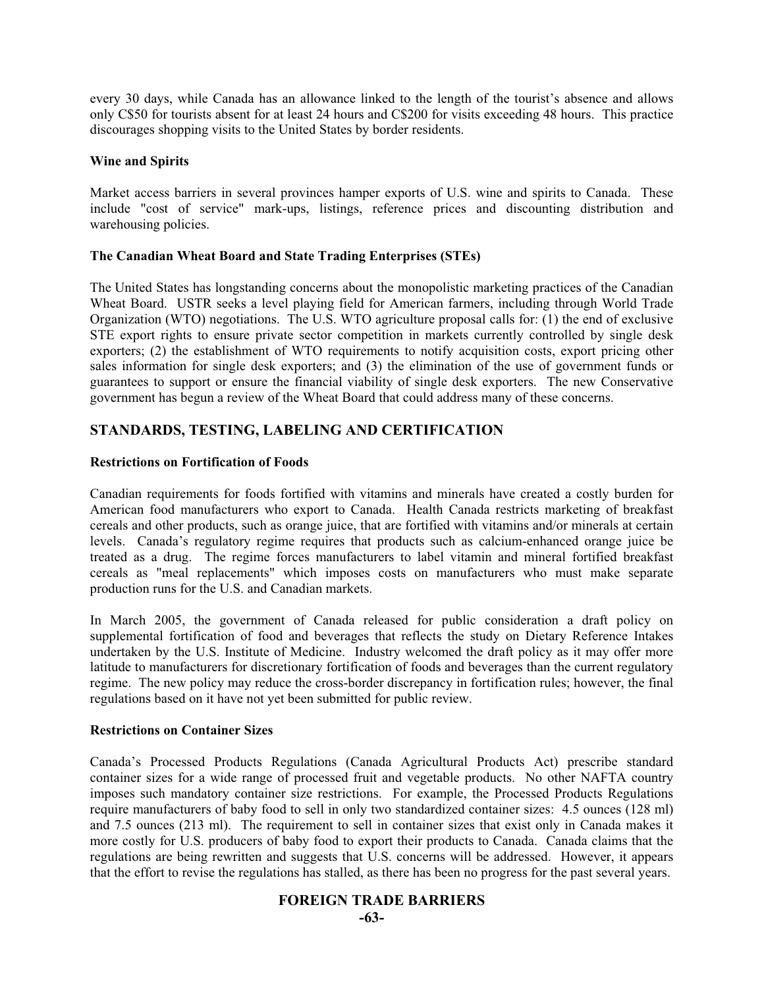every 30 days, while Canada has an allowance linked to the length of the tourist's absence and allows only C\$50 for tourists absent for at least 24 hours and C\$200 for visits exceeding 48 hours. This practice discourages shopping visits to the United States by border residents.

#### **Wine and Spirits**

Market access barriers in several provinces hamper exports of U.S. wine and spirits to Canada. These include "cost of service" mark-ups, listings, reference prices and discounting distribution and warehousing policies.

## **The Canadian Wheat Board and State Trading Enterprises (STEs)**

The United States has longstanding concerns about the monopolistic marketing practices of the Canadian Wheat Board. USTR seeks a level playing field for American farmers, including through World Trade Organization (WTO) negotiations. The U.S. WTO agriculture proposal calls for: (1) the end of exclusive STE export rights to ensure private sector competition in markets currently controlled by single desk exporters; (2) the establishment of WTO requirements to notify acquisition costs, export pricing other sales information for single desk exporters; and (3) the elimination of the use of government funds or guarantees to support or ensure the financial viability of single desk exporters. The new Conservative government has begun a review of the Wheat Board that could address many of these concerns.

# **STANDARDS, TESTING, LABELING AND CERTIFICATION**

## **Restrictions on Fortification of Foods**

Canadian requirements for foods fortified with vitamins and minerals have created a costly burden for American food manufacturers who export to Canada. Health Canada restricts marketing of breakfast cereals and other products, such as orange juice, that are fortified with vitamins and/or minerals at certain levels. Canada's regulatory regime requires that products such as calcium-enhanced orange juice be treated as a drug. The regime forces manufacturers to label vitamin and mineral fortified breakfast cereals as "meal replacements" which imposes costs on manufacturers who must make separate production runs for the U.S. and Canadian markets.

In March 2005, the government of Canada released for public consideration a draft policy on supplemental fortification of food and beverages that reflects the study on Dietary Reference Intakes undertaken by the U.S. Institute of Medicine. Industry welcomed the draft policy as it may offer more latitude to manufacturers for discretionary fortification of foods and beverages than the current regulatory regime. The new policy may reduce the cross-border discrepancy in fortification rules; however, the final regulations based on it have not yet been submitted for public review.

#### **Restrictions on Container Sizes**

Canada's Processed Products Regulations (Canada Agricultural Products Act) prescribe standard container sizes for a wide range of processed fruit and vegetable products. No other NAFTA country imposes such mandatory container size restrictions. For example, the Processed Products Regulations require manufacturers of baby food to sell in only two standardized container sizes: 4.5 ounces (128 ml) and 7.5 ounces (213 ml). The requirement to sell in container sizes that exist only in Canada makes it more costly for U.S. producers of baby food to export their products to Canada. Canada claims that the regulations are being rewritten and suggests that U.S. concerns will be addressed. However, it appears that the effort to revise the regulations has stalled, as there has been no progress for the past several years.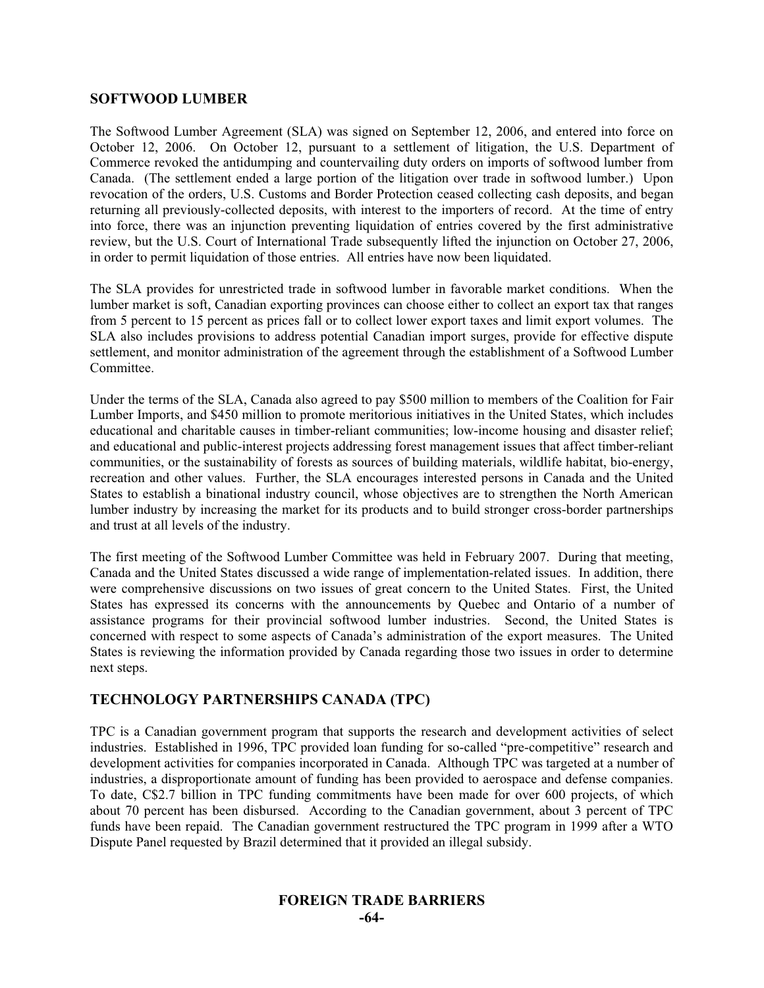## **SOFTWOOD LUMBER**

The Softwood Lumber Agreement (SLA) was signed on September 12, 2006, and entered into force on October 12, 2006. On October 12, pursuant to a settlement of litigation, the U.S. Department of Commerce revoked the antidumping and countervailing duty orders on imports of softwood lumber from Canada. (The settlement ended a large portion of the litigation over trade in softwood lumber.) Upon revocation of the orders, U.S. Customs and Border Protection ceased collecting cash deposits, and began returning all previously-collected deposits, with interest to the importers of record. At the time of entry into force, there was an injunction preventing liquidation of entries covered by the first administrative review, but the U.S. Court of International Trade subsequently lifted the injunction on October 27, 2006, in order to permit liquidation of those entries. All entries have now been liquidated.

The SLA provides for unrestricted trade in softwood lumber in favorable market conditions. When the lumber market is soft, Canadian exporting provinces can choose either to collect an export tax that ranges from 5 percent to 15 percent as prices fall or to collect lower export taxes and limit export volumes. The SLA also includes provisions to address potential Canadian import surges, provide for effective dispute settlement, and monitor administration of the agreement through the establishment of a Softwood Lumber Committee.

Under the terms of the SLA, Canada also agreed to pay \$500 million to members of the Coalition for Fair Lumber Imports, and \$450 million to promote meritorious initiatives in the United States, which includes educational and charitable causes in timber-reliant communities; low-income housing and disaster relief; and educational and public-interest projects addressing forest management issues that affect timber-reliant communities, or the sustainability of forests as sources of building materials, wildlife habitat, bio-energy, recreation and other values. Further, the SLA encourages interested persons in Canada and the United States to establish a binational industry council, whose objectives are to strengthen the North American lumber industry by increasing the market for its products and to build stronger cross-border partnerships and trust at all levels of the industry.

The first meeting of the Softwood Lumber Committee was held in February 2007. During that meeting, Canada and the United States discussed a wide range of implementation-related issues. In addition, there were comprehensive discussions on two issues of great concern to the United States. First, the United States has expressed its concerns with the announcements by Quebec and Ontario of a number of assistance programs for their provincial softwood lumber industries. Second, the United States is concerned with respect to some aspects of Canada's administration of the export measures. The United States is reviewing the information provided by Canada regarding those two issues in order to determine next steps.

# **TECHNOLOGY PARTNERSHIPS CANADA (TPC)**

TPC is a Canadian government program that supports the research and development activities of select industries. Established in 1996, TPC provided loan funding for so-called "pre-competitive" research and development activities for companies incorporated in Canada. Although TPC was targeted at a number of industries, a disproportionate amount of funding has been provided to aerospace and defense companies. To date, C\$2.7 billion in TPC funding commitments have been made for over 600 projects, of which about 70 percent has been disbursed. According to the Canadian government, about 3 percent of TPC funds have been repaid. The Canadian government restructured the TPC program in 1999 after a WTO Dispute Panel requested by Brazil determined that it provided an illegal subsidy.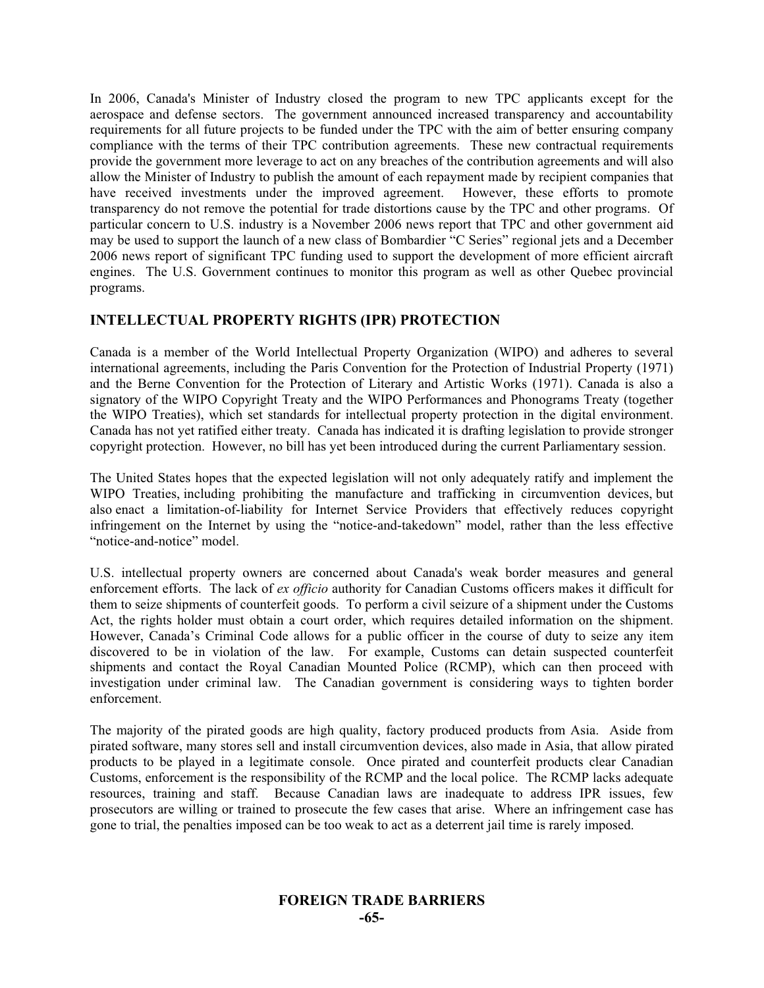In 2006, Canada's Minister of Industry closed the program to new TPC applicants except for the aerospace and defense sectors. The government announced increased transparency and accountability requirements for all future projects to be funded under the TPC with the aim of better ensuring company compliance with the terms of their TPC contribution agreements. These new contractual requirements provide the government more leverage to act on any breaches of the contribution agreements and will also allow the Minister of Industry to publish the amount of each repayment made by recipient companies that have received investments under the improved agreement. However, these efforts to promote transparency do not remove the potential for trade distortions cause by the TPC and other programs. Of particular concern to U.S. industry is a November 2006 news report that TPC and other government aid may be used to support the launch of a new class of Bombardier "C Series" regional jets and a December 2006 news report of significant TPC funding used to support the development of more efficient aircraft engines. The U.S. Government continues to monitor this program as well as other Quebec provincial programs.

## **INTELLECTUAL PROPERTY RIGHTS (IPR) PROTECTION**

Canada is a member of the World Intellectual Property Organization (WIPO) and adheres to several international agreements, including the Paris Convention for the Protection of Industrial Property (1971) and the Berne Convention for the Protection of Literary and Artistic Works (1971). Canada is also a signatory of the WIPO Copyright Treaty and the WIPO Performances and Phonograms Treaty (together the WIPO Treaties), which set standards for intellectual property protection in the digital environment. Canada has not yet ratified either treaty. Canada has indicated it is drafting legislation to provide stronger copyright protection. However, no bill has yet been introduced during the current Parliamentary session.

The United States hopes that the expected legislation will not only adequately ratify and implement the WIPO Treaties, including prohibiting the manufacture and trafficking in circumvention devices, but also enact a limitation-of-liability for Internet Service Providers that effectively reduces copyright infringement on the Internet by using the "notice-and-takedown" model, rather than the less effective "notice-and-notice" model.

U.S. intellectual property owners are concerned about Canada's weak border measures and general enforcement efforts. The lack of *ex officio* authority for Canadian Customs officers makes it difficult for them to seize shipments of counterfeit goods. To perform a civil seizure of a shipment under the Customs Act, the rights holder must obtain a court order, which requires detailed information on the shipment. However, Canada's Criminal Code allows for a public officer in the course of duty to seize any item discovered to be in violation of the law. For example, Customs can detain suspected counterfeit shipments and contact the Royal Canadian Mounted Police (RCMP), which can then proceed with investigation under criminal law. The Canadian government is considering ways to tighten border enforcement.

The majority of the pirated goods are high quality, factory produced products from Asia. Aside from pirated software, many stores sell and install circumvention devices, also made in Asia, that allow pirated products to be played in a legitimate console. Once pirated and counterfeit products clear Canadian Customs, enforcement is the responsibility of the RCMP and the local police. The RCMP lacks adequate resources, training and staff. Because Canadian laws are inadequate to address IPR issues, few prosecutors are willing or trained to prosecute the few cases that arise. Where an infringement case has gone to trial, the penalties imposed can be too weak to act as a deterrent jail time is rarely imposed.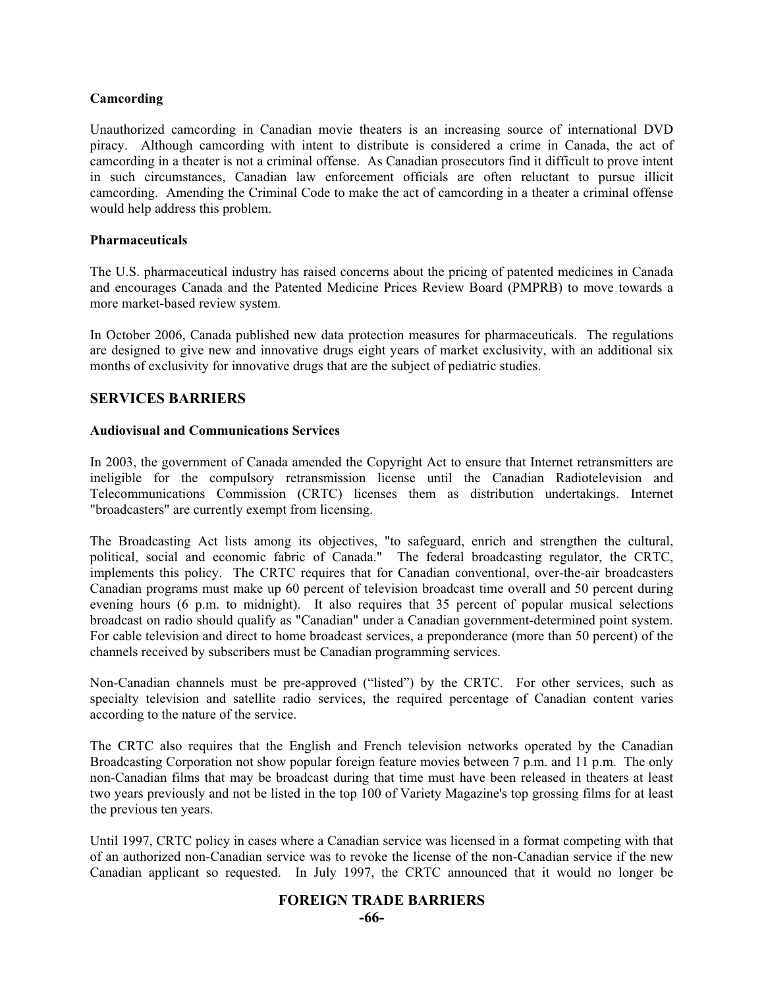#### **Camcording**

Unauthorized camcording in Canadian movie theaters is an increasing source of international DVD piracy. Although camcording with intent to distribute is considered a crime in Canada, the act of camcording in a theater is not a criminal offense. As Canadian prosecutors find it difficult to prove intent in such circumstances, Canadian law enforcement officials are often reluctant to pursue illicit camcording. Amending the Criminal Code to make the act of camcording in a theater a criminal offense would help address this problem.

### **Pharmaceuticals**

The U.S. pharmaceutical industry has raised concerns about the pricing of patented medicines in Canada and encourages Canada and the Patented Medicine Prices Review Board (PMPRB) to move towards a more market-based review system.

In October 2006, Canada published new data protection measures for pharmaceuticals. The regulations are designed to give new and innovative drugs eight years of market exclusivity, with an additional six months of exclusivity for innovative drugs that are the subject of pediatric studies.

# **SERVICES BARRIERS**

#### **Audiovisual and Communications Services**

In 2003, the government of Canada amended the Copyright Act to ensure that Internet retransmitters are ineligible for the compulsory retransmission license until the Canadian Radiotelevision and Telecommunications Commission (CRTC) licenses them as distribution undertakings. Internet "broadcasters" are currently exempt from licensing.

The Broadcasting Act lists among its objectives, "to safeguard, enrich and strengthen the cultural, political, social and economic fabric of Canada." The federal broadcasting regulator, the CRTC, implements this policy. The CRTC requires that for Canadian conventional, over-the-air broadcasters Canadian programs must make up 60 percent of television broadcast time overall and 50 percent during evening hours (6 p.m. to midnight). It also requires that 35 percent of popular musical selections broadcast on radio should qualify as "Canadian" under a Canadian government-determined point system. For cable television and direct to home broadcast services, a preponderance (more than 50 percent) of the channels received by subscribers must be Canadian programming services.

Non-Canadian channels must be pre-approved ("listed") by the CRTC. For other services, such as specialty television and satellite radio services, the required percentage of Canadian content varies according to the nature of the service.

The CRTC also requires that the English and French television networks operated by the Canadian Broadcasting Corporation not show popular foreign feature movies between 7 p.m. and 11 p.m. The only non-Canadian films that may be broadcast during that time must have been released in theaters at least two years previously and not be listed in the top 100 of Variety Magazine's top grossing films for at least the previous ten years.

Until 1997, CRTC policy in cases where a Canadian service was licensed in a format competing with that of an authorized non-Canadian service was to revoke the license of the non-Canadian service if the new Canadian applicant so requested. In July 1997, the CRTC announced that it would no longer be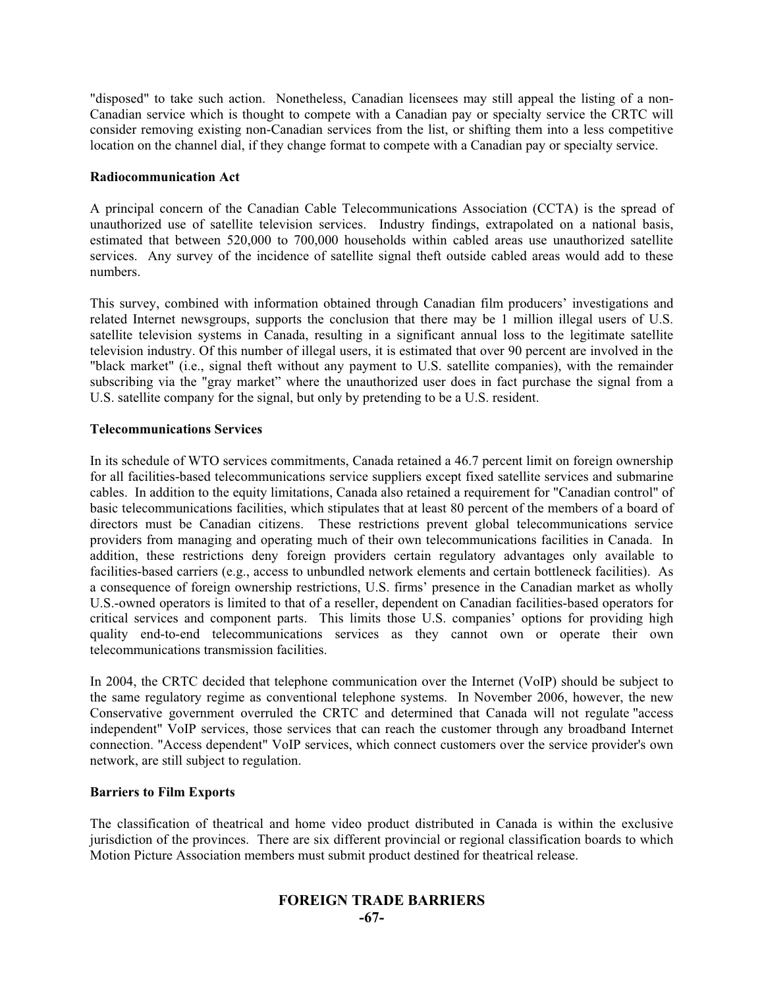"disposed" to take such action. Nonetheless, Canadian licensees may still appeal the listing of a non-Canadian service which is thought to compete with a Canadian pay or specialty service the CRTC will consider removing existing non-Canadian services from the list, or shifting them into a less competitive location on the channel dial, if they change format to compete with a Canadian pay or specialty service.

#### **Radiocommunication Act**

A principal concern of the Canadian Cable Telecommunications Association (CCTA) is the spread of unauthorized use of satellite television services. Industry findings, extrapolated on a national basis, estimated that between 520,000 to 700,000 households within cabled areas use unauthorized satellite services. Any survey of the incidence of satellite signal theft outside cabled areas would add to these numbers.

This survey, combined with information obtained through Canadian film producers' investigations and related Internet newsgroups, supports the conclusion that there may be 1 million illegal users of U.S. satellite television systems in Canada, resulting in a significant annual loss to the legitimate satellite television industry. Of this number of illegal users, it is estimated that over 90 percent are involved in the "black market" (i.e., signal theft without any payment to U.S. satellite companies), with the remainder subscribing via the "gray market" where the unauthorized user does in fact purchase the signal from a U.S. satellite company for the signal, but only by pretending to be a U.S. resident.

#### **Telecommunications Services**

In its schedule of WTO services commitments, Canada retained a 46.7 percent limit on foreign ownership for all facilities-based telecommunications service suppliers except fixed satellite services and submarine cables. In addition to the equity limitations, Canada also retained a requirement for "Canadian control" of basic telecommunications facilities, which stipulates that at least 80 percent of the members of a board of directors must be Canadian citizens. These restrictions prevent global telecommunications service providers from managing and operating much of their own telecommunications facilities in Canada. In addition, these restrictions deny foreign providers certain regulatory advantages only available to facilities-based carriers (e.g., access to unbundled network elements and certain bottleneck facilities). As a consequence of foreign ownership restrictions, U.S. firms' presence in the Canadian market as wholly U.S.-owned operators is limited to that of a reseller, dependent on Canadian facilities-based operators for critical services and component parts. This limits those U.S. companies' options for providing high quality end-to-end telecommunications services as they cannot own or operate their own telecommunications transmission facilities.

In 2004, the CRTC decided that telephone communication over the Internet (VoIP) should be subject to the same regulatory regime as conventional telephone systems. In November 2006, however, the new Conservative government overruled the CRTC and determined that Canada will not regulate "access independent" VoIP services, those services that can reach the customer through any broadband Internet connection. "Access dependent" VoIP services, which connect customers over the service provider's own network, are still subject to regulation.

#### **Barriers to Film Exports**

The classification of theatrical and home video product distributed in Canada is within the exclusive jurisdiction of the provinces. There are six different provincial or regional classification boards to which Motion Picture Association members must submit product destined for theatrical release.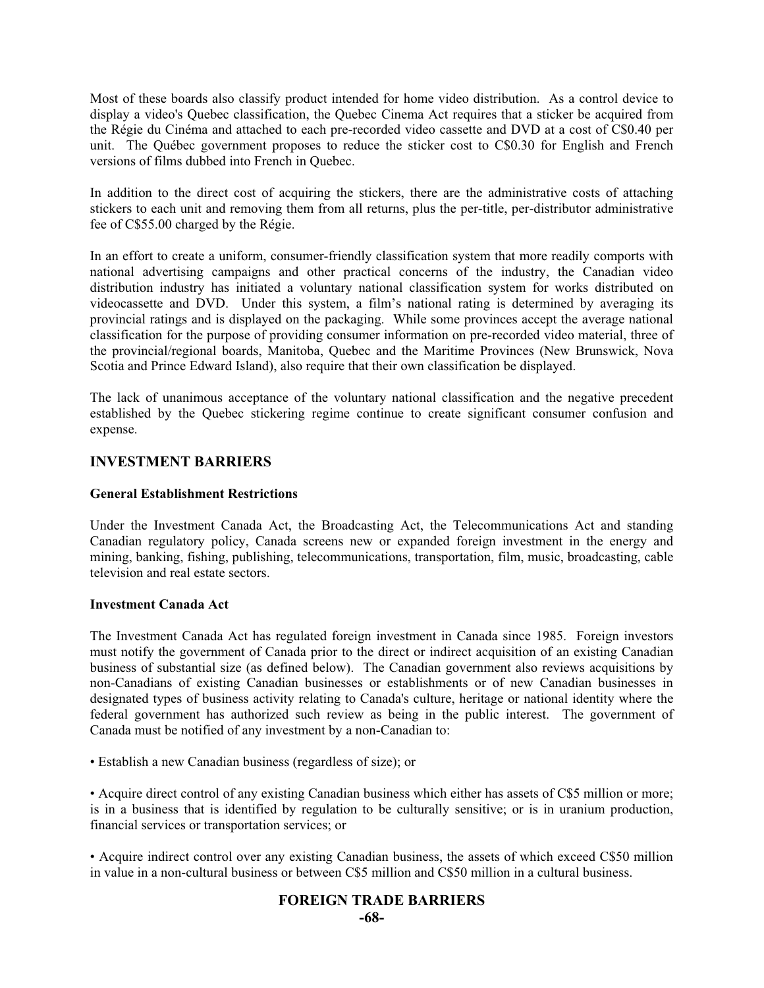Most of these boards also classify product intended for home video distribution. As a control device to display a video's Quebec classification, the Quebec Cinema Act requires that a sticker be acquired from the Régie du Cinéma and attached to each pre-recorded video cassette and DVD at a cost of C\$0.40 per unit. The Québec government proposes to reduce the sticker cost to C\$0.30 for English and French versions of films dubbed into French in Quebec.

In addition to the direct cost of acquiring the stickers, there are the administrative costs of attaching stickers to each unit and removing them from all returns, plus the per-title, per-distributor administrative fee of C\$55.00 charged by the Régie.

In an effort to create a uniform, consumer-friendly classification system that more readily comports with national advertising campaigns and other practical concerns of the industry, the Canadian video distribution industry has initiated a voluntary national classification system for works distributed on videocassette and DVD. Under this system, a film's national rating is determined by averaging its provincial ratings and is displayed on the packaging. While some provinces accept the average national classification for the purpose of providing consumer information on pre-recorded video material, three of the provincial/regional boards, Manitoba, Quebec and the Maritime Provinces (New Brunswick, Nova Scotia and Prince Edward Island), also require that their own classification be displayed.

The lack of unanimous acceptance of the voluntary national classification and the negative precedent established by the Quebec stickering regime continue to create significant consumer confusion and expense.

#### **INVESTMENT BARRIERS**

#### **General Establishment Restrictions**

Under the Investment Canada Act, the Broadcasting Act, the Telecommunications Act and standing Canadian regulatory policy, Canada screens new or expanded foreign investment in the energy and mining, banking, fishing, publishing, telecommunications, transportation, film, music, broadcasting, cable television and real estate sectors.

#### **Investment Canada Act**

The Investment Canada Act has regulated foreign investment in Canada since 1985. Foreign investors must notify the government of Canada prior to the direct or indirect acquisition of an existing Canadian business of substantial size (as defined below). The Canadian government also reviews acquisitions by non-Canadians of existing Canadian businesses or establishments or of new Canadian businesses in designated types of business activity relating to Canada's culture, heritage or national identity where the federal government has authorized such review as being in the public interest. The government of Canada must be notified of any investment by a non-Canadian to:

• Establish a new Canadian business (regardless of size); or

• Acquire direct control of any existing Canadian business which either has assets of C\$5 million or more; is in a business that is identified by regulation to be culturally sensitive; or is in uranium production, financial services or transportation services; or

• Acquire indirect control over any existing Canadian business, the assets of which exceed C\$50 million in value in a non-cultural business or between C\$5 million and C\$50 million in a cultural business.